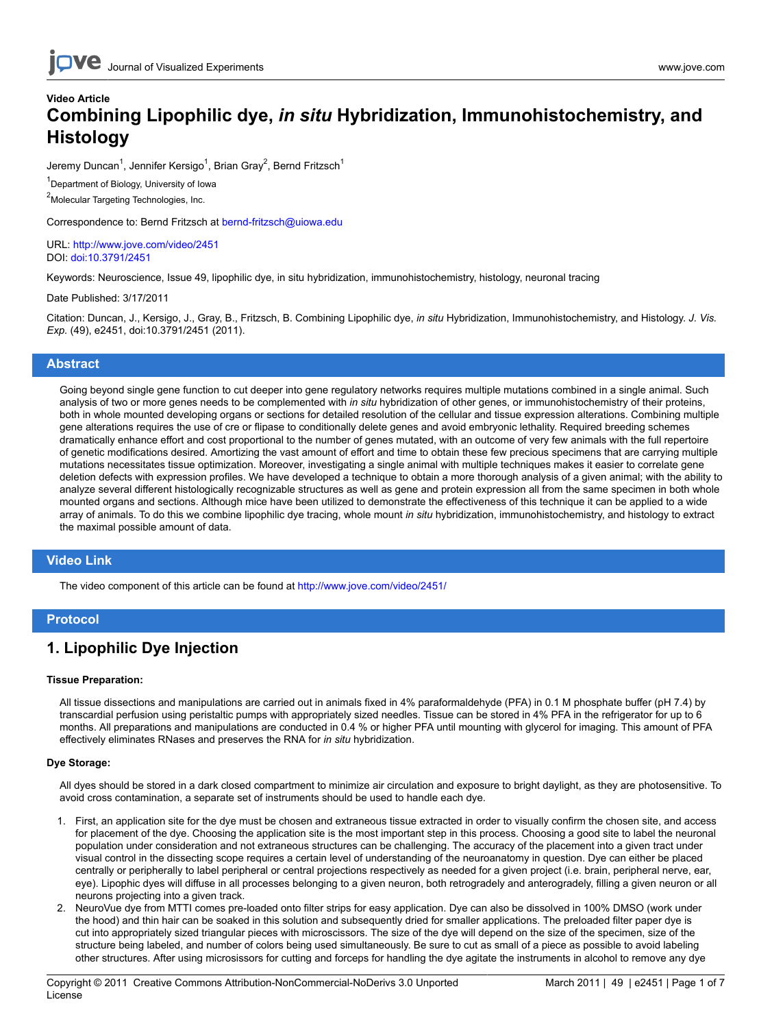## **Video Article Combining Lipophilic dye,** *in situ* **Hybridization, Immunohistochemistry, and Histology**

Jeremy Duncan<sup>1</sup>, Jennifer Kersigo<sup>1</sup>, Brian Gray<sup>2</sup>, Bernd Fritzsch<sup>1</sup>

<sup>1</sup> Department of Biology, University of Iowa

<sup>2</sup>Molecular Targeting Technologies, Inc.

Correspondence to: Bernd Fritzsch at [bernd-fritzsch@uiowa.edu](mailto:bernd-fritzsch@uiowa.edu)

URL:<http://www.jove.com/video/2451> DOI: [doi:10.3791/2451](http://dx.doi.org/10.3791/2451)

Keywords: Neuroscience, Issue 49, lipophilic dye, in situ hybridization, immunohistochemistry, histology, neuronal tracing

Date Published: 3/17/2011

Citation: Duncan, J., Kersigo, J., Gray, B., Fritzsch, B. Combining Lipophilic dye, *in situ* Hybridization, Immunohistochemistry, and Histology. *J. Vis. Exp.* (49), e2451, doi:10.3791/2451 (2011).

### **Abstract**

Going beyond single gene function to cut deeper into gene regulatory networks requires multiple mutations combined in a single animal. Such analysis of two or more genes needs to be complemented with *in situ* hybridization of other genes, or immunohistochemistry of their proteins, both in whole mounted developing organs or sections for detailed resolution of the cellular and tissue expression alterations. Combining multiple gene alterations requires the use of cre or flipase to conditionally delete genes and avoid embryonic lethality. Required breeding schemes dramatically enhance effort and cost proportional to the number of genes mutated, with an outcome of very few animals with the full repertoire of genetic modifications desired. Amortizing the vast amount of effort and time to obtain these few precious specimens that are carrying multiple mutations necessitates tissue optimization. Moreover, investigating a single animal with multiple techniques makes it easier to correlate gene deletion defects with expression profiles. We have developed a technique to obtain a more thorough analysis of a given animal; with the ability to analyze several different histologically recognizable structures as well as gene and protein expression all from the same specimen in both whole mounted organs and sections. Although mice have been utilized to demonstrate the effectiveness of this technique it can be applied to a wide array of animals. To do this we combine lipophilic dye tracing, whole mount *in situ* hybridization, immunohistochemistry, and histology to extract the maximal possible amount of data.

### **Video Link**

The video component of this article can be found at <http://www.jove.com/video/2451/>

### **Protocol**

### **1. Lipophilic Dye Injection**

#### **Tissue Preparation:**

All tissue dissections and manipulations are carried out in animals fixed in 4% paraformaldehyde (PFA) in 0.1 M phosphate buffer (pH 7.4) by transcardial perfusion using peristaltic pumps with appropriately sized needles. Tissue can be stored in 4% PFA in the refrigerator for up to 6 months. All preparations and manipulations are conducted in 0.4 % or higher PFA until mounting with glycerol for imaging. This amount of PFA effectively eliminates RNases and preserves the RNA for *in situ* hybridization.

#### **Dye Storage:**

All dyes should be stored in a dark closed compartment to minimize air circulation and exposure to bright daylight, as they are photosensitive. To avoid cross contamination, a separate set of instruments should be used to handle each dye.

- 1. First, an application site for the dye must be chosen and extraneous tissue extracted in order to visually confirm the chosen site, and access for placement of the dye. Choosing the application site is the most important step in this process. Choosing a good site to label the neuronal population under consideration and not extraneous structures can be challenging. The accuracy of the placement into a given tract under visual control in the dissecting scope requires a certain level of understanding of the neuroanatomy in question. Dye can either be placed centrally or peripherally to label peripheral or central projections respectively as needed for a given project (i.e. brain, peripheral nerve, ear, eye). Lipophic dyes will diffuse in all processes belonging to a given neuron, both retrogradely and anterogradely, filling a given neuron or all neurons projecting into a given track.
- 2. NeuroVue dye from MTTI comes pre-loaded onto filter strips for easy application. Dye can also be dissolved in 100% DMSO (work under the hood) and thin hair can be soaked in this solution and subsequently dried for smaller applications. The preloaded filter paper dye is cut into appropriately sized triangular pieces with microscissors. The size of the dye will depend on the size of the specimen, size of the structure being labeled, and number of colors being used simultaneously. Be sure to cut as small of a piece as possible to avoid labeling other structures. After using microsissors for cutting and forceps for handling the dye agitate the instruments in alcohol to remove any dye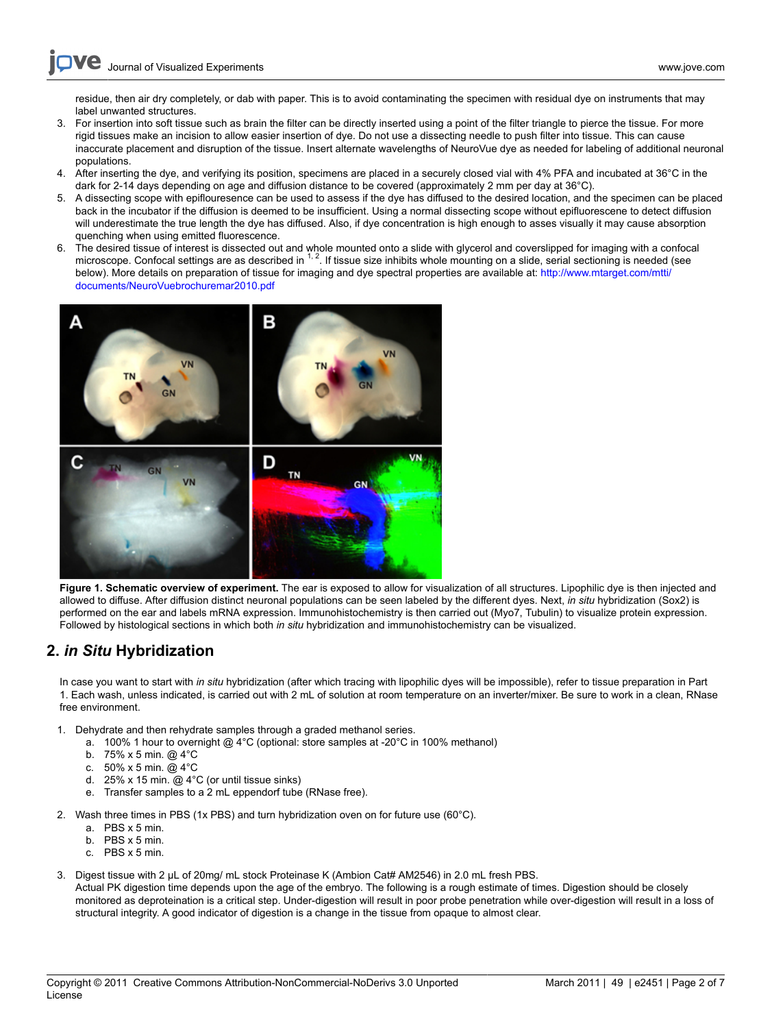residue, then air dry completely, or dab with paper. This is to avoid contaminating the specimen with residual dye on instruments that may label unwanted structures.

- 3. For insertion into soft tissue such as brain the filter can be directly inserted using a point of the filter triangle to pierce the tissue. For more rigid tissues make an incision to allow easier insertion of dye. Do not use a dissecting needle to push filter into tissue. This can cause inaccurate placement and disruption of the tissue. Insert alternate wavelengths of NeuroVue dye as needed for labeling of additional neuronal populations.
- 4. After inserting the dye, and verifying its position, specimens are placed in a securely closed vial with 4% PFA and incubated at 36°C in the dark for 2-14 days depending on age and diffusion distance to be covered (approximately 2 mm per day at 36°C).
- 5. A dissecting scope with epiflouresence can be used to assess if the dye has diffused to the desired location, and the specimen can be placed back in the incubator if the diffusion is deemed to be insufficient. Using a normal dissecting scope without epifluorescene to detect diffusion will underestimate the true length the dye has diffused. Also, if dye concentration is high enough to asses visually it may cause absorption quenching when using emitted fluorescence.
- 6. The desired tissue of interest is dissected out and whole mounted onto a slide with glycerol and coverslipped for imaging with a confocal settings are as described in  $1.2$ . If tissue size inhibits whole mounting on a below). More details on preparation of tissue for imaging and dye spectral properties are available at: [http://www.mtarget.com/mtti/](http://www.mtarget.com/mtti/documents/NeuroVuebrochuremar2010.pdf) [documents/NeuroVuebrochuremar2010.pdf](http://www.mtarget.com/mtti/documents/NeuroVuebrochuremar2010.pdf)



**Figure 1. Schematic overview of experiment.** The ear is exposed to allow for visualization of all structures. Lipophilic dye is then injected and allowed to diffuse. After diffusion distinct neuronal populations can be seen labeled by the different dyes. Next, *in situ* hybridization (Sox2) is performed on the ear and labels mRNA expression. Immunohistochemistry is then carried out (Myo7, Tubulin) to visualize protein expression. Followed by histological sections in which both *in situ* hybridization and immunohistochemistry can be visualized.

## **2.** *in Situ* **Hybridization**

In case you want to start with *in situ* hybridization (after which tracing with lipophilic dyes will be impossible), refer to tissue preparation in Part 1. Each wash, unless indicated, is carried out with 2 mL of solution at room temperature on an inverter/mixer. Be sure to work in a clean, RNase free environment.

- 1. Dehydrate and then rehydrate samples through a graded methanol series.
	- a. 100% 1 hour to overnight @ 4°C (optional: store samples at -20°C in 100% methanol)
		- b. 75% x 5 min. @ 4°C
		- c. 50% x 5 min. @ 4°C
		- d. 25% x 15 min. @ 4°C (or until tissue sinks)
		- e. Transfer samples to a 2 mL eppendorf tube (RNase free).
- 2. Wash three times in PBS (1x PBS) and turn hybridization oven on for future use (60 $^{\circ}$ C).
	- a. PBS x 5 min.
	- b. PBS x 5 min.
	- c. PBS x 5 min.
- 3. Digest tissue with 2 μL of 20mg/ mL stock Proteinase K (Ambion Cat# AM2546) in 2.0 mL fresh PBS.
- Actual PK digestion time depends upon the age of the embryo. The following is a rough estimate of times. Digestion should be closely monitored as deproteination is a critical step. Under-digestion will result in poor probe penetration while over-digestion will result in a loss of structural integrity. A good indicator of digestion is a change in the tissue from opaque to almost clear.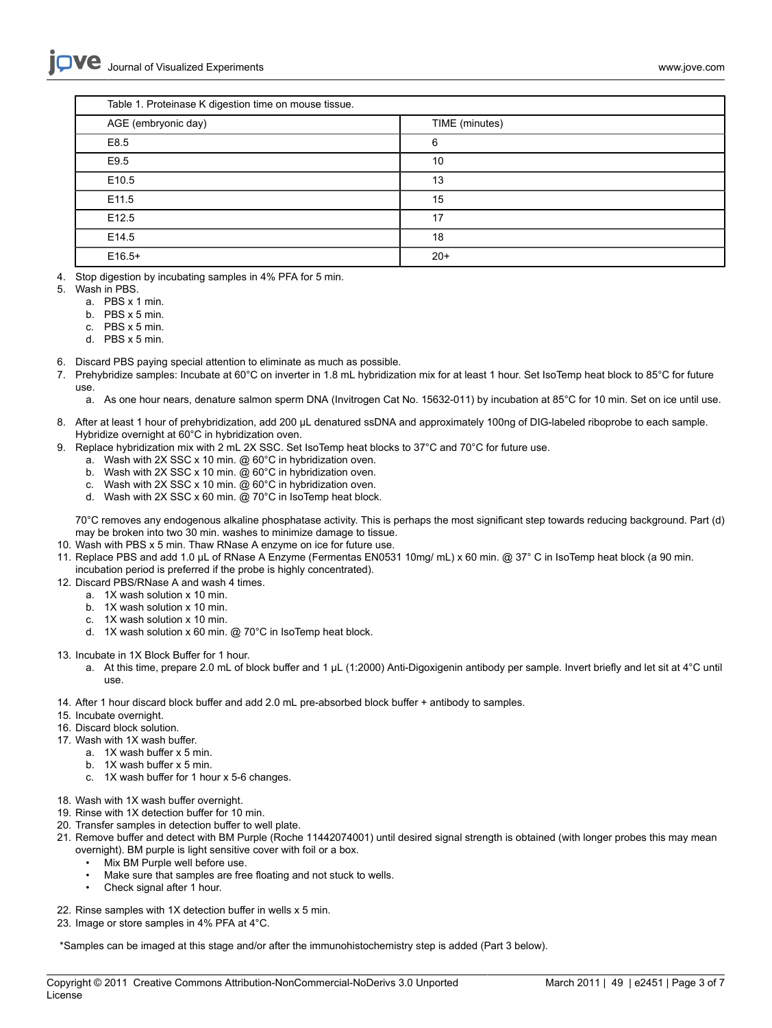| Table 1. Proteinase K digestion time on mouse tissue. |                |  |
|-------------------------------------------------------|----------------|--|
| AGE (embryonic day)                                   | TIME (minutes) |  |
| E8.5                                                  | 6              |  |
| E9.5                                                  | 10             |  |
| E <sub>10.5</sub>                                     | 13             |  |
| E11.5                                                 | 15             |  |
| E <sub>12.5</sub>                                     | 17             |  |
| E14.5                                                 | 18             |  |
| $E16.5+$                                              | $20+$          |  |

- 4. Stop digestion by incubating samples in 4% PFA for 5 min.
- 5. Wash in PBS.
	- a. PBS x 1 min.
	- b. PBS x 5 min.
	- c. PBS x 5 min.
	- d. PBS x 5 min.
- 6. Discard PBS paying special attention to eliminate as much as possible.
- 7. Prehybridize samples: Incubate at 60°C on inverter in 1.8 mL hybridization mix for at least 1 hour. Set IsoTemp heat block to 85°C for future use.
	- a. As one hour nears, denature salmon sperm DNA (Invitrogen Cat No. 15632-011) by incubation at 85°C for 10 min. Set on ice until use.
- 8. After at least 1 hour of prehybridization, add 200 μL denatured ssDNA and approximately 100ng of DIG-labeled riboprobe to each sample. Hybridize overnight at 60°C in hybridization oven.
- 9. Replace hybridization mix with 2 mL 2X SSC. Set IsoTemp heat blocks to 37°C and 70°C for future use.
	- a. Wash with 2X SSC x 10 min. @ 60°C in hybridization oven.
	- b. Wash with 2X SSC x 10 min. @ 60°C in hybridization oven.
	- c. Wash with 2X SSC x 10 min. @ 60°C in hybridization oven.
	- d. Wash with 2X SSC x 60 min. @ 70°C in IsoTemp heat block.

70°C removes any endogenous alkaline phosphatase activity. This is perhaps the most significant step towards reducing background. Part (d) may be broken into two 30 min. washes to minimize damage to tissue.

- 10. Wash with PBS x 5 min. Thaw RNase A enzyme on ice for future use.
- 11. Replace PBS and add 1.0 μL of RNase A Enzyme (Fermentas EN0531 10mg/ mL) x 60 min. @ 37° C in IsoTemp heat block (a 90 min. incubation period is preferred if the probe is highly concentrated).
- 12. Discard PBS/RNase A and wash 4 times.
	- a. 1X wash solution x 10 min.
	- b. 1X wash solution x 10 min.
	- c. 1X wash solution x 10 min.
	- d. 1X wash solution x 60 min. @ 70°C in IsoTemp heat block.
- 13. Incubate in 1X Block Buffer for 1 hour.
	- a. At this time, prepare 2.0 mL of block buffer and 1 μL (1:2000) Anti-Digoxigenin antibody per sample. Invert briefly and let sit at 4°C until use.
- 14. After 1 hour discard block buffer and add 2.0 mL pre-absorbed block buffer + antibody to samples.
- 15. Incubate overnight.
- 16. Discard block solution.
- 17. Wash with 1X wash buffer.
	- a. 1X wash buffer x 5 min.
	- b. 1X wash buffer x 5 min.
	- c. 1X wash buffer for 1 hour x 5-6 changes.
- 18. Wash with 1X wash buffer overnight.
- 19. Rinse with 1X detection buffer for 10 min.
- 20. Transfer samples in detection buffer to well plate.
- 21. Remove buffer and detect with BM Purple (Roche 11442074001) until desired signal strength is obtained (with longer probes this may mean overnight). BM purple is light sensitive cover with foil or a box.
	- Mix BM Purple well before use.
	- Make sure that samples are free floating and not stuck to wells.
	- Check signal after 1 hour.
- 22. Rinse samples with 1X detection buffer in wells x 5 min.
- 23. Image or store samples in 4% PFA at 4°C.

\*Samples can be imaged at this stage and/or after the immunohistochemistry step is added (Part 3 below).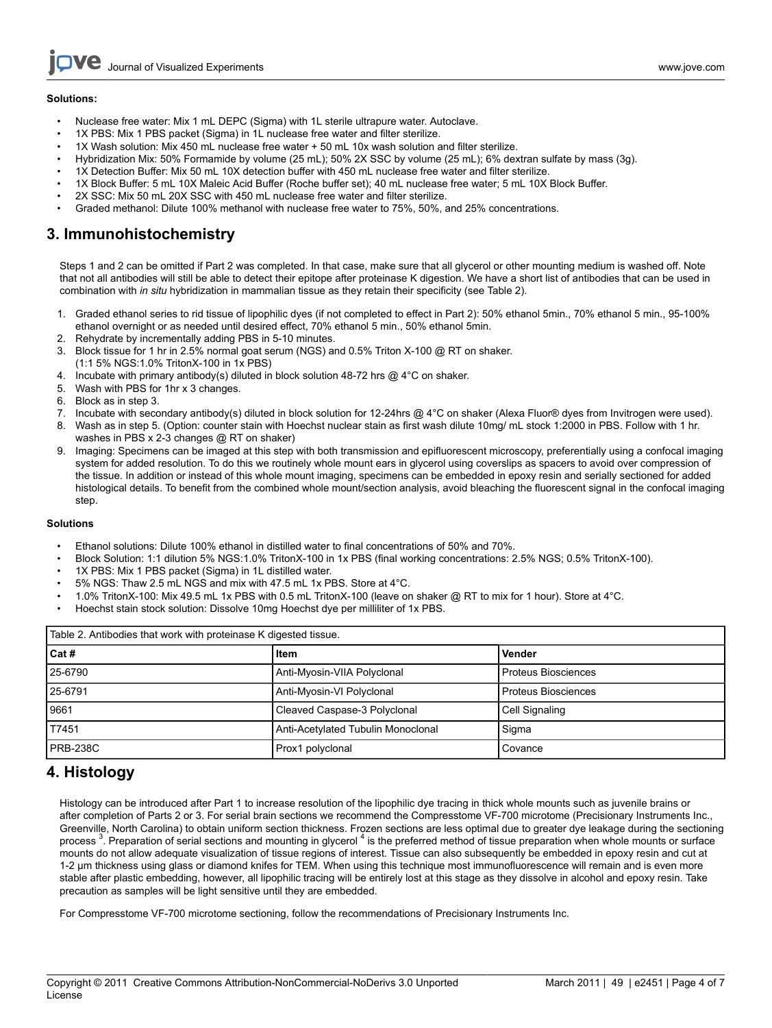Journal of Visualized [Experiments](http://www.jove.com) [www.jove.com](http://www.jove.com)

- Nuclease free water: Mix 1 mL DEPC (Sigma) with 1L sterile ultrapure water. Autoclave.
- 1X PBS: Mix 1 PBS packet (Sigma) in 1L nuclease free water and filter sterilize.
- 1X Wash solution: Mix 450 mL nuclease free water + 50 mL 10x wash solution and filter sterilize.
- Hybridization Mix: 50% Formamide by volume (25 mL); 50% 2X SSC by volume (25 mL); 6% dextran sulfate by mass (3g).
- 1X Detection Buffer: Mix 50 mL 10X detection buffer with 450 mL nuclease free water and filter sterilize.
- 1X Block Buffer: 5 mL 10X Maleic Acid Buffer (Roche buffer set); 40 mL nuclease free water; 5 mL 10X Block Buffer.
- 2X SSC: Mix 50 mL 20X SSC with 450 mL nuclease free water and filter sterilize.
- Graded methanol: Dilute 100% methanol with nuclease free water to 75%, 50%, and 25% concentrations.

### **3. Immunohistochemistry**

Steps 1 and 2 can be omitted if Part 2 was completed. In that case, make sure that all glycerol or other mounting medium is washed off. Note that not all antibodies will still be able to detect their epitope after proteinase K digestion. We have a short list of antibodies that can be used in combination with *in situ* hybridization in mammalian tissue as they retain their specificity (see Table 2).

- 1. Graded ethanol series to rid tissue of lipophilic dyes (if not completed to effect in Part 2): 50% ethanol 5min., 70% ethanol 5 min., 95-100% ethanol overnight or as needed until desired effect, 70% ethanol 5 min., 50% ethanol 5min.
- 2. Rehydrate by incrementally adding PBS in 5-10 minutes.
- 3. Block tissue for 1 hr in 2.5% normal goat serum (NGS) and 0.5% Triton X-100 @ RT on shaker. (1:1 5% NGS:1.0% TritonX-100 in 1x PBS)
- 4. Incubate with primary antibody(s) diluted in block solution 48-72 hrs @ 4°C on shaker.
- 5. Wash with PBS for 1hr x 3 changes.
- 6. Block as in step 3.
- 7. Incubate with secondary antibody(s) diluted in block solution for 12-24hrs @ 4°C on shaker (Alexa Fluor® dyes from Invitrogen were used).
- 8. Wash as in step 5. (Option: counter stain with Hoechst nuclear stain as first wash dilute 10mg/ mL stock 1:2000 in PBS. Follow with 1 hr. washes in PBS x 2-3 changes @ RT on shaker)
- 9. Imaging: Specimens can be imaged at this step with both transmission and epifluorescent microscopy, preferentially using a confocal imaging system for added resolution. To do this we routinely whole mount ears in glycerol using coverslips as spacers to avoid over compression of the tissue. In addition or instead of this whole mount imaging, specimens can be embedded in epoxy resin and serially sectioned for added histological details. To benefit from the combined whole mount/section analysis, avoid bleaching the fluorescent signal in the confocal imaging step.

#### **Solutions**

- Ethanol solutions: Dilute 100% ethanol in distilled water to final concentrations of 50% and 70%.
- Block Solution: 1:1 dilution 5% NGS:1.0% TritonX-100 in 1x PBS (final working concentrations: 2.5% NGS; 0.5% TritonX-100).
- 1X PBS: Mix 1 PBS packet (Sigma) in 1L distilled water.
- 5% NGS: Thaw 2.5 mL NGS and mix with 47.5 mL 1x PBS. Store at 4°C.
- 1.0% TritonX-100: Mix 49.5 mL 1x PBS with 0.5 mL TritonX-100 (leave on shaker @ RT to mix for 1 hour). Store at 4°C.
- Hoechst stain stock solution: Dissolve 10mg Hoechst dye per milliliter of 1x PBS.

| Table 2. Antibodies that work with proteinase K digested tissue. |                                    |                     |  |
|------------------------------------------------------------------|------------------------------------|---------------------|--|
| l Cat #                                                          | Item                               | Vender              |  |
| 25-6790                                                          | Anti-Myosin-VIIA Polyclonal        | Proteus Biosciences |  |
| 25-6791                                                          | Anti-Myosin-VI Polyclonal          | Proteus Biosciences |  |
| 9661                                                             | Cleaved Caspase-3 Polyclonal       | Cell Signaling      |  |
| T7451                                                            | Anti-Acetylated Tubulin Monoclonal | Sigma               |  |
| PRB-238C                                                         | Prox1 polyclonal                   | Covance             |  |

### **4. Histology**

Histology can be introduced after Part 1 to increase resolution of the lipophilic dye tracing in thick whole mounts such as juvenile brains or after completion of Parts 2 or 3. For serial brain sections we recommend the Compresstome VF-700 microtome (Precisionary Instruments Inc., Greenville, North Carolina) to obtain uniform section thickness. Frozen sections are less optimal due to greater dye leakage during the sectioning process<sup>3</sup>. Preparation of serial sections and mounting in glycerol <sup>4</sup> is the preferred method of tissue preparation when whole mounts or surface mounts do not allow adequate visualization of tissue regions of interest. Tissue can also subsequently be embedded in epoxy resin and cut at 1-2 μm thickness using glass or diamond knifes for TEM. When using this technique most immunofluorescence will remain and is even more stable after plastic embedding, however, all lipophilic tracing will be entirely lost at this stage as they dissolve in alcohol and epoxy resin. Take precaution as samples will be light sensitive until they are embedded.

For Compresstome VF-700 microtome sectioning, follow the recommendations of Precisionary Instruments Inc.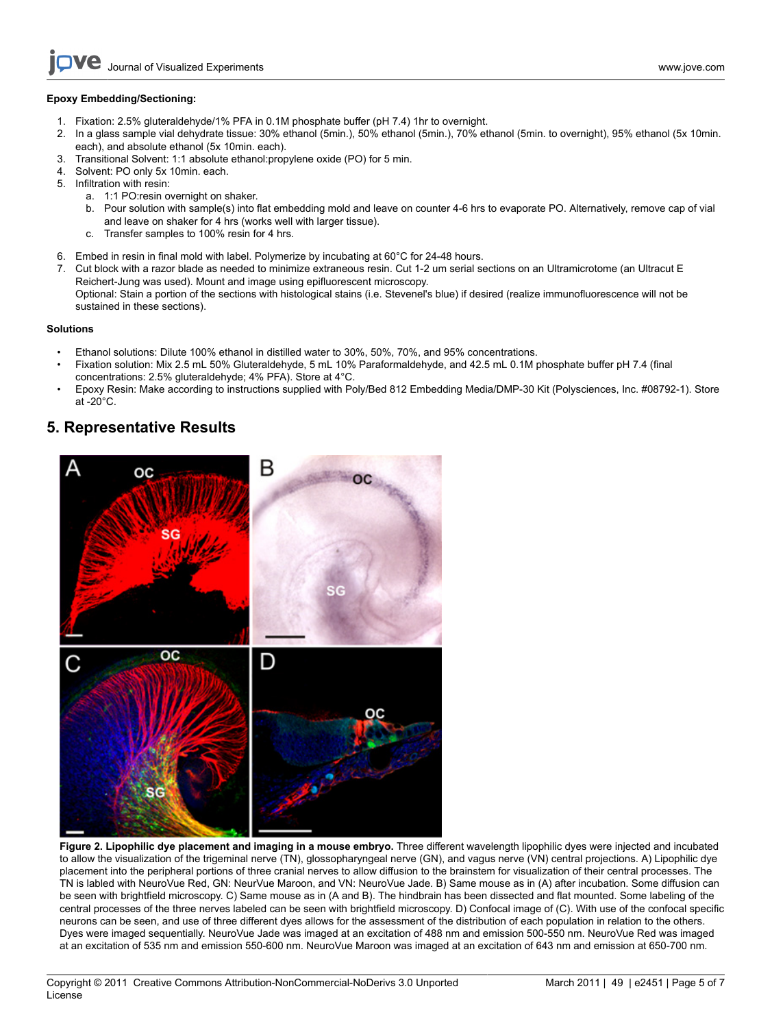### **Epoxy Embedding/Sectioning:**

- 1. Fixation: 2.5% gluteraldehyde/1% PFA in 0.1M phosphate buffer (pH 7.4) 1hr to overnight.
- 2. In a glass sample vial dehydrate tissue: 30% ethanol (5min.), 50% ethanol (5min.), 70% ethanol (5min. to overnight), 95% ethanol (5x 10min. each), and absolute ethanol (5x 10min. each).
- 3. Transitional Solvent: 1:1 absolute ethanol:propylene oxide (PO) for 5 min.
- 4. Solvent: PO only 5x 10min. each.
- 5. Infiltration with resin:
	- a. 1:1 PO:resin overnight on shaker.
	- b. Pour solution with sample(s) into flat embedding mold and leave on counter 4-6 hrs to evaporate PO. Alternatively, remove cap of vial and leave on shaker for 4 hrs (works well with larger tissue).
	- c. Transfer samples to 100% resin for 4 hrs.
- 6. Embed in resin in final mold with label. Polymerize by incubating at 60°C for 24-48 hours.
- 7. Cut block with a razor blade as needed to minimize extraneous resin. Cut 1-2 um serial sections on an Ultramicrotome (an Ultracut E Reichert-Jung was used). Mount and image using epifluorescent microscopy. Optional: Stain a portion of the sections with histological stains (i.e. Stevenel's blue) if desired (realize immunofluorescence will not be sustained in these sections).

### **Solutions**

- Ethanol solutions: Dilute 100% ethanol in distilled water to 30%, 50%, 70%, and 95% concentrations.
- Fixation solution: Mix 2.5 mL 50% Gluteraldehyde, 5 mL 10% Paraformaldehyde, and 42.5 mL 0.1M phosphate buffer pH 7.4 (final concentrations: 2.5% gluteraldehyde; 4% PFA). Store at 4°C.
- Epoxy Resin: Make according to instructions supplied with Poly/Bed 812 Embedding Media/DMP-30 Kit (Polysciences, Inc. #08792-1). Store at -20°C.

### **5. Representative Results**



**Figure 2. Lipophilic dye placement and imaging in a mouse embryo.** Three different wavelength lipophilic dyes were injected and incubated to allow the visualization of the trigeminal nerve (TN), glossopharyngeal nerve (GN), and vagus nerve (VN) central projections. A) Lipophilic dye placement into the peripheral portions of three cranial nerves to allow diffusion to the brainstem for visualization of their central processes. The TN is labled with NeuroVue Red, GN: NeurVue Maroon, and VN: NeuroVue Jade. B) Same mouse as in (A) after incubation. Some diffusion can be seen with brightfield microscopy. C) Same mouse as in (A and B). The hindbrain has been dissected and flat mounted. Some labeling of the central processes of the three nerves labeled can be seen with brightfield microscopy. D) Confocal image of (C). With use of the confocal specific neurons can be seen, and use of three different dyes allows for the assessment of the distribution of each population in relation to the others. Dyes were imaged sequentially. NeuroVue Jade was imaged at an excitation of 488 nm and emission 500-550 nm. NeuroVue Red was imaged at an excitation of 535 nm and emission 550-600 nm. NeuroVue Maroon was imaged at an excitation of 643 nm and emission at 650-700 nm.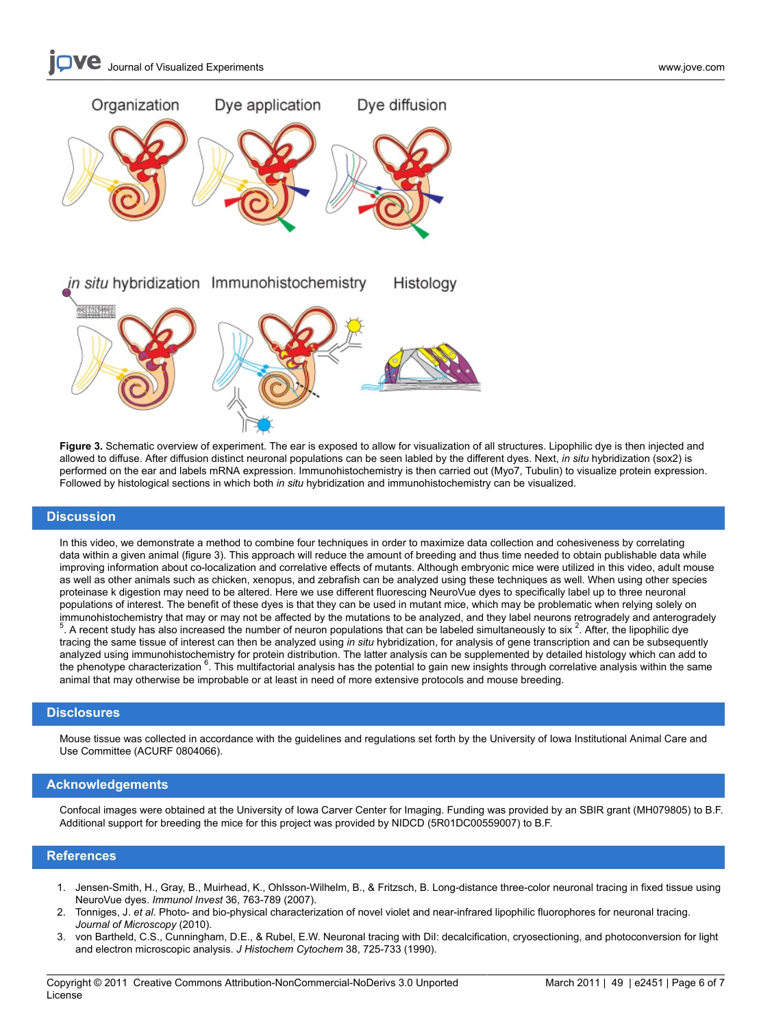# **Journal of Visualized [Experiments](http://www.jove.com)** WWW.jove.com [www.jove.com](http://www.jove.com)



**Figure 3.** Schematic overview of experiment. The ear is exposed to allow for visualization of all structures. Lipophilic dye is then injected and allowed to diffuse. After diffusion distinct neuronal populations can be seen labled by the different dyes. Next, *in situ* hybridization (sox2) is performed on the ear and labels mRNA expression. Immunohistochemistry is then carried out (Myo7, Tubulin) to visualize protein expression. Followed by histological sections in which both *in situ* hybridization and immunohistochemistry can be visualized.

#### **Discussion**

In this video, we demonstrate a method to combine four techniques in order to maximize data collection and cohesiveness by correlating data within a given animal (figure 3). This approach will reduce the amount of breeding and thus time needed to obtain publishable data while improving information about co-localization and correlative effects of mutants. Although embryonic mice were utilized in this video, adult mouse as well as other animals such as chicken, xenopus, and zebrafish can be analyzed using these techniques as well. When using other species proteinase k digestion may need to be altered. Here we use different fluorescing NeuroVue dyes to specifically label up to three neuronal populations of interest. The benefit of these dyes is that they can be used in mutant mice, which may be problematic when relying solely on immunohistochemistry that may or may not be affected by the mutations to be analyzed, and they label neurons retrogradely and anterogradely<br><sup>5</sup>. A recent study has also increased the number of neuron populations that can b . A recent study has also increased the number of neuron populations that can be labeled simultaneously to six  $^2$ . After, the lipophilic dye tracing the same tissue of interest can then be analyzed using *in situ* hybridization, for analysis of gene transcription and can be subsequently analyzed using immunohistochemistry for protein distribution. The latter analysis can be supplemented by detailed histology which can add to the phenotype characterization <sup>6</sup>. This multifactorial analysis has the potential to gain new insights through correlative analysis within the same animal that may otherwise be improbable or at least in need of more extensive protocols and mouse breeding.

### **Disclosures**

Mouse tissue was collected in accordance with the guidelines and regulations set forth by the University of Iowa Institutional Animal Care and Use Committee (ACURF 0804066).

#### **Acknowledgements**

Confocal images were obtained at the University of Iowa Carver Center for Imaging. Funding was provided by an SBIR grant (MH079805) to B.F. Additional support for breeding the mice for this project was provided by NIDCD (5R01DC00559007) to B.F.

### **References**

- 1. Jensen-Smith, H., Gray, B., Muirhead, K., Ohlsson-Wilhelm, B., & Fritzsch, B. Long-distance three-color neuronal tracing in fixed tissue using NeuroVue dyes. *Immunol Invest* 36, 763-789 (2007).
- 2. Tonniges, J. *et al.* Photo- and bio-physical characterization of novel violet and near-infrared lipophilic fluorophores for neuronal tracing. *Journal of Microscopy* (2010).
- 3. von Bartheld, C.S., Cunningham, D.E., & Rubel, E.W. Neuronal tracing with DiI: decalcification, cryosectioning, and photoconversion for light and electron microscopic analysis. *J Histochem Cytochem* 38, 725-733 (1990).